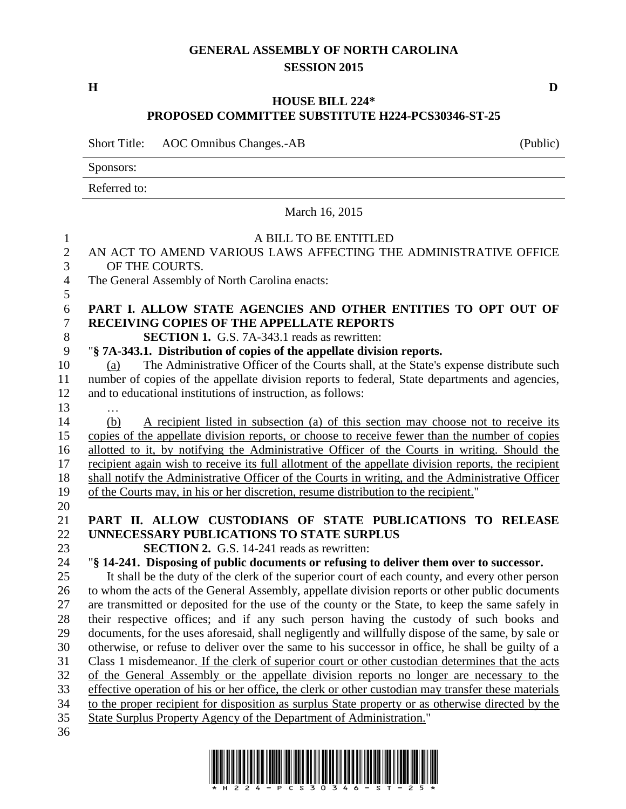## **GENERAL ASSEMBLY OF NORTH CAROLINA SESSION 2015**

**H D**

## **HOUSE BILL 224\* PROPOSED COMMITTEE SUBSTITUTE H224-PCS30346-ST-25**

Short Title: AOC Omnibus Changes.-AB (Public) Sponsors: Referred to: March 16, 2015 A BILL TO BE ENTITLED AN ACT TO AMEND VARIOUS LAWS AFFECTING THE ADMINISTRATIVE OFFICE OF THE COURTS. The General Assembly of North Carolina enacts: **PART I. ALLOW STATE AGENCIES AND OTHER ENTITIES TO OPT OUT OF RECEIVING COPIES OF THE APPELLATE REPORTS SECTION 1.** G.S. 7A-343.1 reads as rewritten: "**§ 7A-343.1. Distribution of copies of the appellate division reports.** (a) The Administrative Officer of the Courts shall, at the State's expense distribute such number of copies of the appellate division reports to federal, State departments and agencies, and to educational institutions of instruction, as follows: … (b) A recipient listed in subsection (a) of this section may choose not to receive its copies of the appellate division reports, or choose to receive fewer than the number of copies allotted to it, by notifying the Administrative Officer of the Courts in writing. Should the recipient again wish to receive its full allotment of the appellate division reports, the recipient shall notify the Administrative Officer of the Courts in writing, and the Administrative Officer of the Courts may, in his or her discretion, resume distribution to the recipient." **PART II. ALLOW CUSTODIANS OF STATE PUBLICATIONS TO RELEASE UNNECESSARY PUBLICATIONS TO STATE SURPLUS SECTION 2.** G.S. 14-241 reads as rewritten: "**§ 14-241. Disposing of public documents or refusing to deliver them over to successor.** It shall be the duty of the clerk of the superior court of each county, and every other person to whom the acts of the General Assembly, appellate division reports or other public documents are transmitted or deposited for the use of the county or the State, to keep the same safely in their respective offices; and if any such person having the custody of such books and documents, for the uses aforesaid, shall negligently and willfully dispose of the same, by sale or otherwise, or refuse to deliver over the same to his successor in office, he shall be guilty of a Class 1 misdemeanor. If the clerk of superior court or other custodian determines that the acts of the General Assembly or the appellate division reports no longer are necessary to the effective operation of his or her office, the clerk or other custodian may transfer these materials to the proper recipient for disposition as surplus State property or as otherwise directed by the State Surplus Property Agency of the Department of Administration."

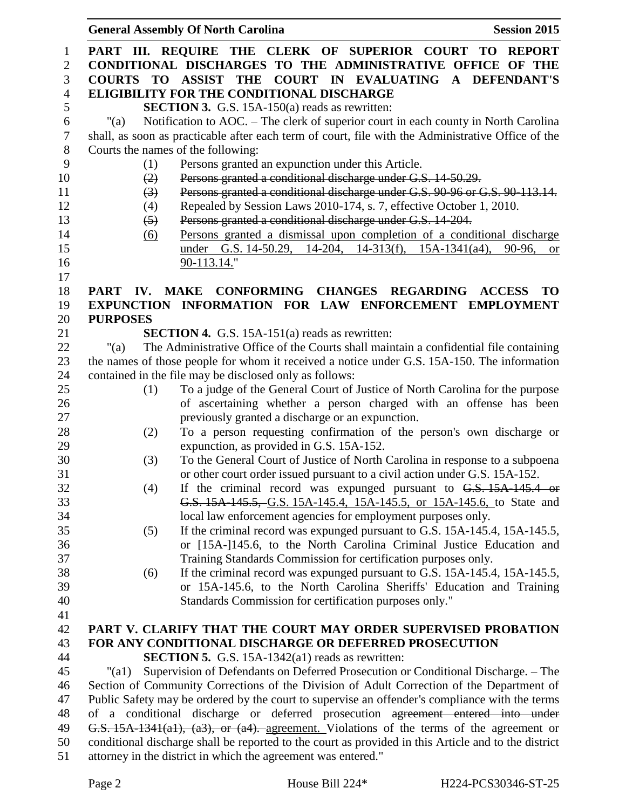|                |                                                                                                      | <b>General Assembly Of North Carolina</b><br><b>Session 2015</b>                                                      |  |
|----------------|------------------------------------------------------------------------------------------------------|-----------------------------------------------------------------------------------------------------------------------|--|
| $\mathbf{1}$   |                                                                                                      | PART III. REQUIRE THE CLERK OF SUPERIOR COURT TO REPORT                                                               |  |
| $\sqrt{2}$     |                                                                                                      | CONDITIONAL DISCHARGES TO THE ADMINISTRATIVE OFFICE OF THE                                                            |  |
| 3              |                                                                                                      | COURTS TO ASSIST THE COURT IN EVALUATING A DEFENDANT'S                                                                |  |
| $\overline{4}$ |                                                                                                      | <b>ELIGIBILITY FOR THE CONDITIONAL DISCHARGE</b>                                                                      |  |
| 5              |                                                                                                      | <b>SECTION 3.</b> G.S. 15A-150(a) reads as rewritten:                                                                 |  |
| $\sqrt{6}$     | " $(a)$                                                                                              | Notification to AOC. - The clerk of superior court in each county in North Carolina                                   |  |
| $\tau$         |                                                                                                      | shall, as soon as practicable after each term of court, file with the Administrative Office of the                    |  |
| $8\phantom{1}$ |                                                                                                      | Courts the names of the following:                                                                                    |  |
| 9              | (1)                                                                                                  | Persons granted an expunction under this Article.                                                                     |  |
| 10             | (2)                                                                                                  | Persons granted a conditional discharge under G.S. 14-50.29.                                                          |  |
| 11             | (3)                                                                                                  | Persons granted a conditional discharge under G.S. 90-96 or G.S. 90-113.14.                                           |  |
| 12             | (4)                                                                                                  | Repealed by Session Laws 2010-174, s. 7, effective October 1, 2010.                                                   |  |
| 13             | $\left(5\right)$                                                                                     | Persons granted a conditional discharge under G.S. 14-204.                                                            |  |
| 14             | (6)                                                                                                  | Persons granted a dismissal upon completion of a conditional discharge                                                |  |
| 15             |                                                                                                      | under G.S. 14-50.29, 14-204, 14-313(f), 15A-1341(a4),<br>90-96,<br><b>or</b>                                          |  |
| 16             |                                                                                                      | 90-113.14."                                                                                                           |  |
| 17             |                                                                                                      |                                                                                                                       |  |
| 18             |                                                                                                      | PART IV. MAKE CONFORMING CHANGES REGARDING<br><b>ACCESS</b><br><b>TO</b>                                              |  |
| 19             |                                                                                                      | EXPUNCTION INFORMATION FOR LAW ENFORCEMENT EMPLOYMENT                                                                 |  |
| 20             | <b>PURPOSES</b>                                                                                      |                                                                                                                       |  |
| 21             |                                                                                                      | <b>SECTION 4.</b> G.S. 15A-151(a) reads as rewritten:                                                                 |  |
| 22             | "(a)                                                                                                 | The Administrative Office of the Courts shall maintain a confidential file containing                                 |  |
| 23             |                                                                                                      | the names of those people for whom it received a notice under G.S. 15A-150. The information                           |  |
| 24             |                                                                                                      | contained in the file may be disclosed only as follows:                                                               |  |
| 25             | (1)                                                                                                  | To a judge of the General Court of Justice of North Carolina for the purpose                                          |  |
| 26<br>27       |                                                                                                      | of ascertaining whether a person charged with an offense has been<br>previously granted a discharge or an expunction. |  |
| 28             | (2)                                                                                                  | To a person requesting confirmation of the person's own discharge or                                                  |  |
| 29             |                                                                                                      | expunction, as provided in G.S. 15A-152.                                                                              |  |
| 30             | (3)                                                                                                  | To the General Court of Justice of North Carolina in response to a subpoena                                           |  |
| 31             |                                                                                                      | or other court order issued pursuant to a civil action under G.S. 15A-152.                                            |  |
| 32             | (4)                                                                                                  | If the criminal record was expunged pursuant to G.S. 15A-145.4 or                                                     |  |
| 33             |                                                                                                      | G.S. 15A-145.5, G.S. 15A-145.4, 15A-145.5, or 15A-145.6, to State and                                                 |  |
| 34             |                                                                                                      | local law enforcement agencies for employment purposes only.                                                          |  |
| 35             | (5)                                                                                                  | If the criminal record was expunged pursuant to G.S. 15A-145.4, 15A-145.5,                                            |  |
| 36             |                                                                                                      | or [15A-]145.6, to the North Carolina Criminal Justice Education and                                                  |  |
| 37             |                                                                                                      | Training Standards Commission for certification purposes only.                                                        |  |
| 38             | (6)                                                                                                  | If the criminal record was expunged pursuant to G.S. 15A-145.4, 15A-145.5,                                            |  |
| 39             |                                                                                                      | or 15A-145.6, to the North Carolina Sheriffs' Education and Training                                                  |  |
| 40             |                                                                                                      | Standards Commission for certification purposes only."                                                                |  |
| 41             |                                                                                                      |                                                                                                                       |  |
| 42             |                                                                                                      | PART V. CLARIFY THAT THE COURT MAY ORDER SUPERVISED PROBATION                                                         |  |
| 43             |                                                                                                      | FOR ANY CONDITIONAL DISCHARGE OR DEFERRED PROSECUTION                                                                 |  |
| 44             |                                                                                                      | <b>SECTION 5.</b> G.S. 15A-1342(a1) reads as rewritten:                                                               |  |
| 45             | $"$ (al)                                                                                             | Supervision of Defendants on Deferred Prosecution or Conditional Discharge. – The                                     |  |
| 46             |                                                                                                      | Section of Community Corrections of the Division of Adult Correction of the Department of                             |  |
| 47             | Public Safety may be ordered by the court to supervise an offender's compliance with the terms       |                                                                                                                       |  |
| 48             |                                                                                                      | of a conditional discharge or deferred prosecution agreement entered into under                                       |  |
| 49             | G.S. 15A-1341(a1), (a3), or (a4). agreement. Violations of the terms of the agreement or             |                                                                                                                       |  |
| 50             | conditional discharge shall be reported to the court as provided in this Article and to the district |                                                                                                                       |  |

attorney in the district in which the agreement was entered."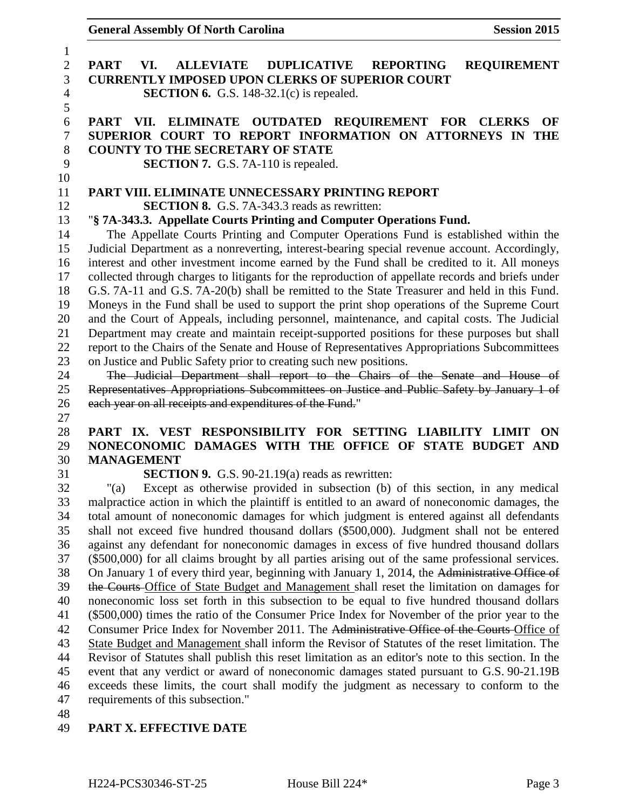**General Assembly Of North Carolina Session 2015** 

| 1               |                                                                                                        |  |  |
|-----------------|--------------------------------------------------------------------------------------------------------|--|--|
| $\mathbf{2}$    | <b>ALLEVIATE</b><br><b>DUPLICATIVE</b><br><b>PART</b><br>VI.<br><b>REPORTING</b><br><b>REQUIREMENT</b> |  |  |
| 3               | <b>CURRENTLY IMPOSED UPON CLERKS OF SUPERIOR COURT</b>                                                 |  |  |
| $\overline{4}$  | <b>SECTION 6.</b> G.S. 148-32.1(c) is repealed.                                                        |  |  |
| 5               |                                                                                                        |  |  |
| 6               | PART VII. ELIMINATE OUTDATED REQUIREMENT FOR CLERKS<br>OF                                              |  |  |
| $\tau$          | SUPERIOR COURT TO REPORT INFORMATION ON ATTORNEYS IN THE                                               |  |  |
| $8\,$           | <b>COUNTY TO THE SECRETARY OF STATE</b>                                                                |  |  |
| 9               | <b>SECTION 7.</b> G.S. 7A-110 is repealed.                                                             |  |  |
| 10              |                                                                                                        |  |  |
| 11              | PART VIII. ELIMINATE UNNECESSARY PRINTING REPORT                                                       |  |  |
| 12              | <b>SECTION 8.</b> G.S. 7A-343.3 reads as rewritten:                                                    |  |  |
| 13              | "§ 7A-343.3. Appellate Courts Printing and Computer Operations Fund.                                   |  |  |
| 14              | The Appellate Courts Printing and Computer Operations Fund is established within the                   |  |  |
| 15              | Judicial Department as a nonreverting, interest-bearing special revenue account. Accordingly,          |  |  |
| 16              | interest and other investment income earned by the Fund shall be credited to it. All moneys            |  |  |
| 17              | collected through charges to litigants for the reproduction of appellate records and briefs under      |  |  |
| 18              | G.S. 7A-11 and G.S. 7A-20(b) shall be remitted to the State Treasurer and held in this Fund.           |  |  |
| 19              | Moneys in the Fund shall be used to support the print shop operations of the Supreme Court             |  |  |
| 20              | and the Court of Appeals, including personnel, maintenance, and capital costs. The Judicial            |  |  |
| 21              | Department may create and maintain receipt-supported positions for these purposes but shall            |  |  |
| 22              | report to the Chairs of the Senate and House of Representatives Appropriations Subcommittees           |  |  |
| 23              | on Justice and Public Safety prior to creating such new positions.                                     |  |  |
| 24              | The Judicial Department shall report to the Chairs of the Senate and House of                          |  |  |
| 25              | Representatives Appropriations Subcommittees on Justice and Public Safety by January 1 of              |  |  |
| 26              | each year on all receipts and expenditures of the Fund."                                               |  |  |
| 27              |                                                                                                        |  |  |
| 28              | PART IX. VEST RESPONSIBILITY FOR SETTING LIABILITY LIMIT<br>ON                                         |  |  |
| 29              | NONECONOMIC DAMAGES WITH THE OFFICE OF STATE BUDGET AND                                                |  |  |
| 30              | <b>MANAGEMENT</b>                                                                                      |  |  |
| 31              | <b>SECTION 9.</b> G.S. 90-21.19(a) reads as rewritten:                                                 |  |  |
| 32              | Except as otherwise provided in subsection (b) of this section, in any medical<br>"(a)                 |  |  |
| 33              | malpractice action in which the plaintiff is entitled to an award of noneconomic damages, the          |  |  |
| 34              | total amount of noneconomic damages for which judgment is entered against all defendants               |  |  |
| 35              | shall not exceed five hundred thousand dollars (\$500,000). Judgment shall not be entered              |  |  |
| 36              | against any defendant for noneconomic damages in excess of five hundred thousand dollars               |  |  |
| 37              | (\$500,000) for all claims brought by all parties arising out of the same professional services.       |  |  |
| 38              | On January 1 of every third year, beginning with January 1, 2014, the Administrative Office of         |  |  |
| 39              | the Courts Office of State Budget and Management shall reset the limitation on damages for             |  |  |
| 40              | noneconomic loss set forth in this subsection to be equal to five hundred thousand dollars             |  |  |
| 41              | (\$500,000) times the ratio of the Consumer Price Index for November of the prior year to the          |  |  |
| 42              | Consumer Price Index for November 2011. The Administrative Office of the Courts-Office of              |  |  |
| 43              | State Budget and Management shall inform the Revisor of Statutes of the reset limitation. The          |  |  |
| 44              | Revisor of Statutes shall publish this reset limitation as an editor's note to this section. In the    |  |  |
| 45              | event that any verdict or award of noneconomic damages stated pursuant to G.S. 90-21.19B               |  |  |
| 46              | exceeds these limits, the court shall modify the judgment as necessary to conform to the               |  |  |
| 47              | requirements of this subsection."                                                                      |  |  |
| $\overline{AB}$ |                                                                                                        |  |  |

## 48<br>49 **PART X. EFFECTIVE DATE**